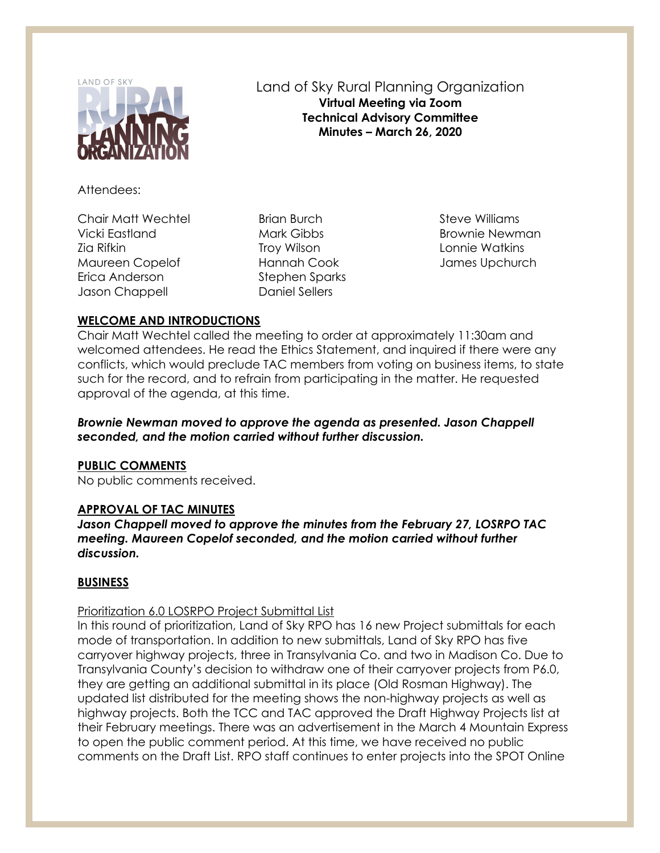

# Land of Sky Rural Planning Organization **Virtual Meeting via Zoom Technical Advisory Committee Minutes – March 26, 2020**

Attendees:

Chair Matt Wechtel Vicki Eastland Zia Rifkin Maureen Copelof Erica Anderson Jason Chappell

Brian Burch Mark Gibbs Troy Wilson Hannah Cook Stephen Sparks Daniel Sellers

Steve Williams Brownie Newman Lonnie Watkins James Upchurch

# **WELCOME AND INTRODUCTIONS**

Chair Matt Wechtel called the meeting to order at approximately 11:30am and welcomed attendees. He read the Ethics Statement, and inquired if there were any conflicts, which would preclude TAC members from voting on business items, to state such for the record, and to refrain from participating in the matter. He requested approval of the agenda, at this time.

*Brownie Newman moved to approve the agenda as presented. Jason Chappell seconded, and the motion carried without further discussion.*

## **PUBLIC COMMENTS**

No public comments received.

## **APPROVAL OF TAC MINUTES**

*Jason Chappell moved to approve the minutes from the February 27, LOSRPO TAC meeting. Maureen Copelof seconded, and the motion carried without further discussion.*

## **BUSINESS**

## Prioritization 6.0 LOSRPO Project Submittal List

In this round of prioritization, Land of Sky RPO has 16 new Project submittals for each mode of transportation. In addition to new submittals, Land of Sky RPO has five carryover highway projects, three in Transylvania Co. and two in Madison Co. Due to Transylvania County's decision to withdraw one of their carryover projects from P6.0, they are getting an additional submittal in its place (Old Rosman Highway). The updated list distributed for the meeting shows the non-highway projects as well as highway projects. Both the TCC and TAC approved the Draft Highway Projects list at their February meetings. There was an advertisement in the March 4 Mountain Express to open the public comment period. At this time, we have received no public comments on the Draft List. RPO staff continues to enter projects into the SPOT Online